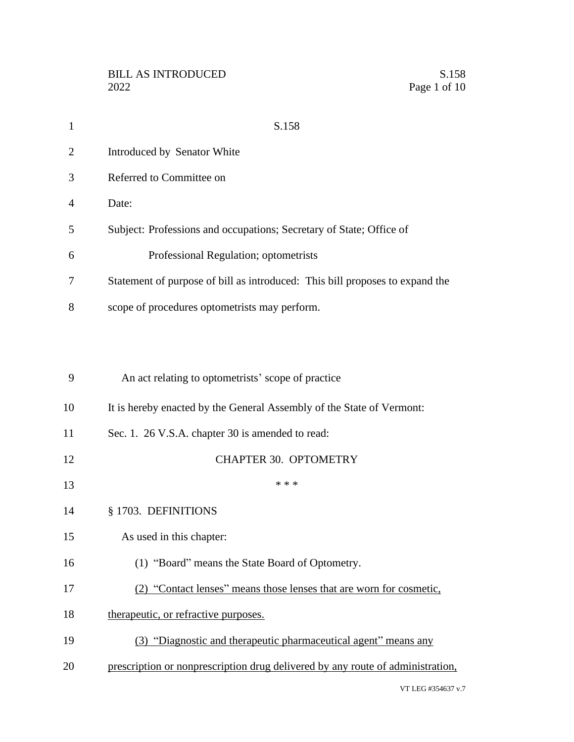| $\mathbf{1}$ | S.158                                                                          |
|--------------|--------------------------------------------------------------------------------|
| 2            | Introduced by Senator White                                                    |
| 3            | Referred to Committee on                                                       |
| 4            | Date:                                                                          |
| 5            | Subject: Professions and occupations; Secretary of State; Office of            |
| 6            | Professional Regulation; optometrists                                          |
| 7            | Statement of purpose of bill as introduced: This bill proposes to expand the   |
| 8            | scope of procedures optometrists may perform.                                  |
|              |                                                                                |
|              |                                                                                |
| 9            | An act relating to optometrists' scope of practice                             |
| 10           | It is hereby enacted by the General Assembly of the State of Vermont:          |
| 11           | Sec. 1. 26 V.S.A. chapter 30 is amended to read:                               |
| 12           | <b>CHAPTER 30. OPTOMETRY</b>                                                   |
| 13           | * * *                                                                          |
| 14           | § 1703. DEFINITIONS                                                            |
| 15           | As used in this chapter:                                                       |
| 16           | (1) "Board" means the State Board of Optometry.                                |
| 17           | (2) "Contact lenses" means those lenses that are worn for cosmetic,            |
| 18           | therapeutic, or refractive purposes.                                           |
| 19           | (3) "Diagnostic and therapeutic pharmaceutical agent" means any                |
| 20           | prescription or nonprescription drug delivered by any route of administration, |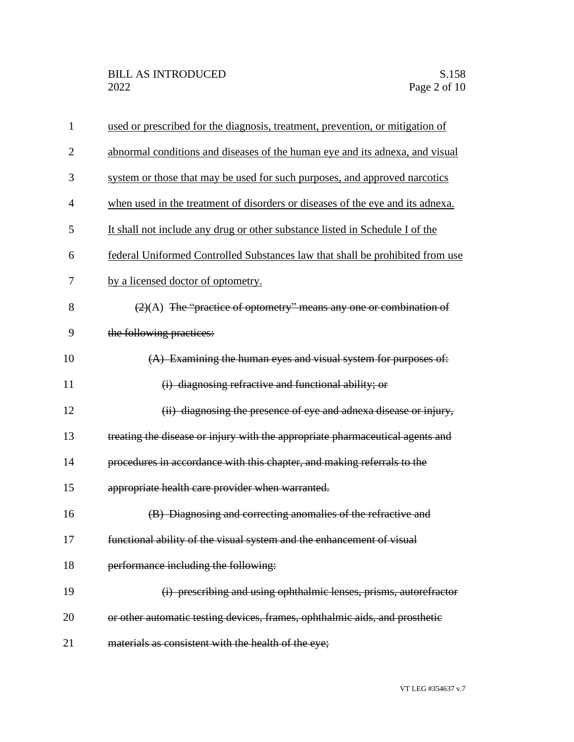| $\mathbf{1}$   | used or prescribed for the diagnosis, treatment, prevention, or mitigation of  |
|----------------|--------------------------------------------------------------------------------|
| $\overline{2}$ | abnormal conditions and diseases of the human eye and its adnexa, and visual   |
| 3              | system or those that may be used for such purposes, and approved narcotics     |
| 4              | when used in the treatment of disorders or diseases of the eye and its adnexa. |
| 5              | It shall not include any drug or other substance listed in Schedule I of the   |
| 6              | federal Uniformed Controlled Substances law that shall be prohibited from use  |
| 7              | by a licensed doctor of optometry.                                             |
| 8              | $(2)(A)$ The "practice of optometry" means any one or combination of           |
| 9              | the following practices:                                                       |
| 10             | (A) Examining the human eyes and visual system for purposes of:                |
| 11             | (i) diagnosing refractive and functional ability; or                           |
| 12             | (ii) diagnosing the presence of eye and adnexa disease or injury,              |
| 13             | treating the disease or injury with the appropriate pharmaceutical agents and  |
| 14             | procedures in accordance with this chapter, and making referrals to the        |
| 15             | appropriate health care provider when warranted.                               |
| 16             | (B) Diagnosing and correcting anomalies of the refractive and                  |
| 17             | functional ability of the visual system and the enhancement of visual          |
| 18             | performance including the following:                                           |
| 19             | (i) prescribing and using ophthalmic lenses, prisms, autorefractor             |
| 20             | or other automatic testing devices, frames, ophthalmic aids, and prosthetic    |
| 21             | materials as consistent with the health of the eye;                            |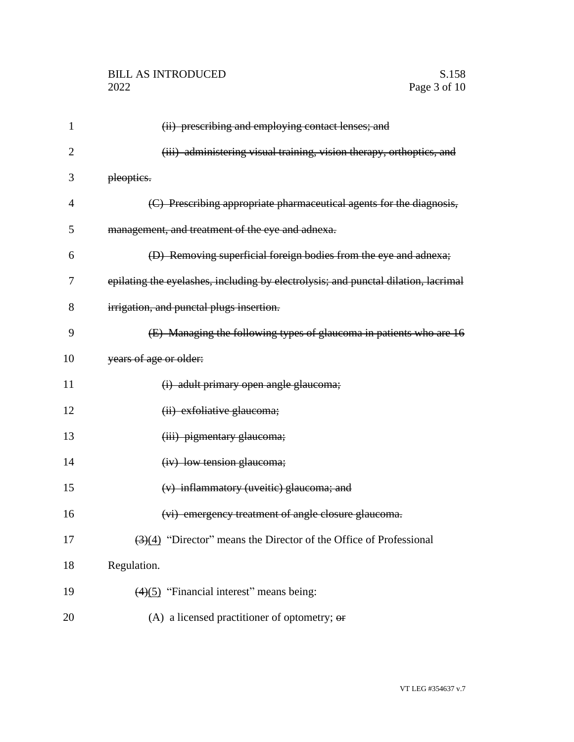| 1              | (ii) prescribing and employing contact lenses; and                                     |
|----------------|----------------------------------------------------------------------------------------|
| $\overline{2}$ | (iii) administering visual training, vision therapy, orthoptics, and                   |
| 3              | pleoptics.                                                                             |
| $\overline{4}$ | (C) Prescribing appropriate pharmaceutical agents for the diagnosis,                   |
| 5              | management, and treatment of the eye and adnexa.                                       |
| 6              | (D) Removing superficial foreign bodies from the eye and adnexa;                       |
| 7              | epilating the eyelashes, including by electrolysis; and punctal dilation, lacrimal     |
| 8              | irrigation, and punctal plugs insertion.                                               |
| 9              | (E) Managing the following types of glaucoma in patients who are 16                    |
| 10             | years of age or older:                                                                 |
| 11             | (i) adult primary open angle glaucoma;                                                 |
| 12             | (ii) exfoliative glaucoma;                                                             |
| 13             | (iii) pigmentary glaucoma;                                                             |
| 14             | (iv) low tension glaucoma;                                                             |
| 15             | (v) inflammatory (uveitic) glaucoma; and                                               |
| 16             | (vi) emergency treatment of angle closure glaucoma.                                    |
| 17             | $\left(\frac{3}{4}\right)$ "Director" means the Director of the Office of Professional |
| 18             | Regulation.                                                                            |
| 19             | $(4)(5)$ "Financial interest" means being:                                             |
| 20             | (A) a licensed practitioner of optometry; $\Theta$ <b>r</b>                            |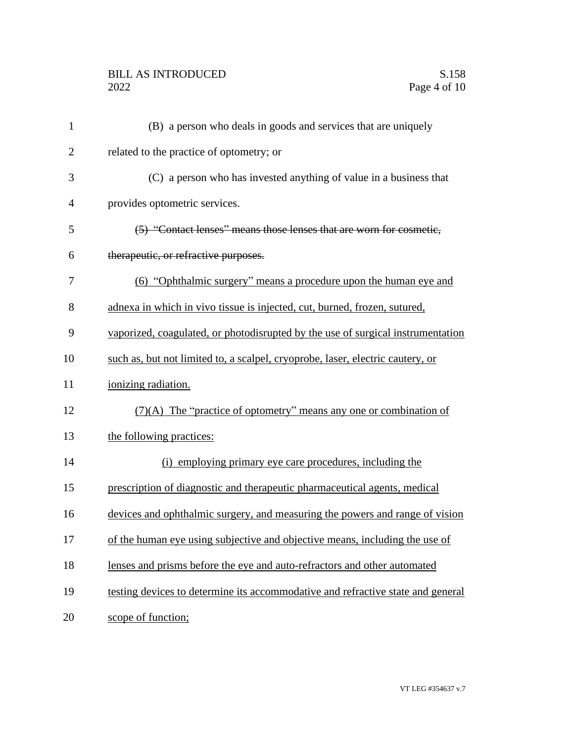## BILL AS INTRODUCED<br>2022 Page 4 of 10

| $\mathbf{1}$   | (B) a person who deals in goods and services that are uniquely                  |
|----------------|---------------------------------------------------------------------------------|
| $\overline{2}$ | related to the practice of optometry; or                                        |
| 3              | (C) a person who has invested anything of value in a business that              |
| $\overline{4}$ | provides optometric services.                                                   |
| 5              | (5) "Contact lenses" means those lenses that are worn for cosmetic,             |
| 6              | therapeutic, or refractive purposes.                                            |
| 7              | (6) "Ophthalmic surgery" means a procedure upon the human eye and               |
| 8              | adnexa in which in vivo tissue is injected, cut, burned, frozen, sutured,       |
| 9              | vaporized, coagulated, or photodisrupted by the use of surgical instrumentation |
| 10             | such as, but not limited to, a scalpel, cryoprobe, laser, electric cautery, or  |
| 11             | ionizing radiation.                                                             |
| 12             | $(7)(A)$ The "practice of optometry" means any one or combination of            |
| 13             | the following practices:                                                        |
| 14             | (i) employing primary eye care procedures, including the                        |
| 15             | prescription of diagnostic and therapeutic pharmaceutical agents, medical       |
| 16             | devices and ophthalmic surgery, and measuring the powers and range of vision    |
| 17             | of the human eye using subjective and objective means, including the use of     |
| 18             | lenses and prisms before the eye and auto-refractors and other automated        |
| 19             | testing devices to determine its accommodative and refractive state and general |
| 20             | scope of function;                                                              |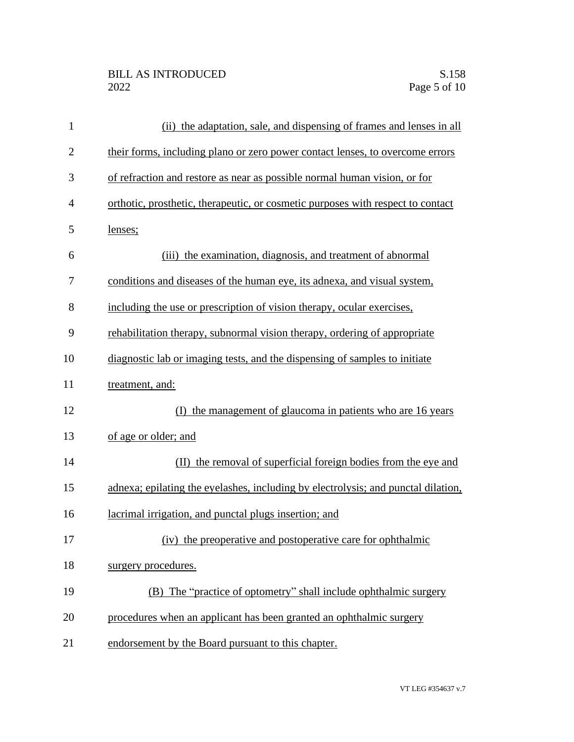| $\mathbf{1}$ | (ii) the adaptation, sale, and dispensing of frames and lenses in all             |
|--------------|-----------------------------------------------------------------------------------|
| $\mathbf{2}$ | their forms, including plano or zero power contact lenses, to overcome errors     |
| 3            | of refraction and restore as near as possible normal human vision, or for         |
| 4            | orthotic, prosthetic, therapeutic, or cosmetic purposes with respect to contact   |
| 5            | lenses;                                                                           |
| 6            | the examination, diagnosis, and treatment of abnormal<br>(iii)                    |
| 7            | conditions and diseases of the human eye, its adnexa, and visual system,          |
| 8            | including the use or prescription of vision therapy, ocular exercises,            |
| 9            | rehabilitation therapy, subnormal vision therapy, ordering of appropriate         |
| 10           | diagnostic lab or imaging tests, and the dispensing of samples to initiate        |
| 11           | treatment, and:                                                                   |
| 12           | (I) the management of glaucoma in patients who are 16 years                       |
| 13           | of age or older; and                                                              |
| 14           | (II) the removal of superficial foreign bodies from the eye and                   |
| 15           | adnexa; epilating the eyelashes, including by electrolysis; and punctal dilation, |
| 16           | lacrimal irrigation, and punctal plugs insertion; and                             |
| 17           | (iv) the preoperative and postoperative care for ophthalmic                       |
| 18           | surgery procedures.                                                               |
| 19           | (B) The "practice of optometry" shall include ophthalmic surgery                  |
| 20           | procedures when an applicant has been granted an ophthalmic surgery               |
| 21           | endorsement by the Board pursuant to this chapter.                                |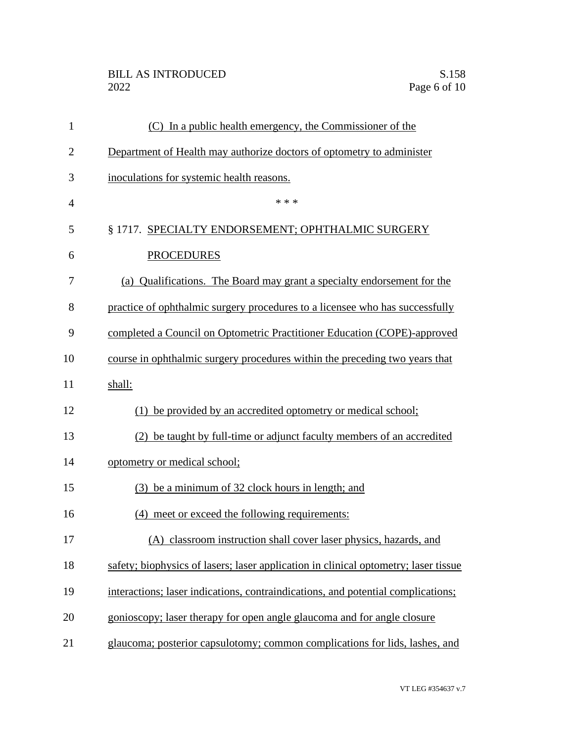## BILL AS INTRODUCED<br>2022 Page 6 of 10

| $\mathbf{1}$   | (C) In a public health emergency, the Commissioner of the                           |
|----------------|-------------------------------------------------------------------------------------|
| $\overline{2}$ | Department of Health may authorize doctors of optometry to administer               |
| 3              | inoculations for systemic health reasons.                                           |
| $\overline{4}$ | * * *                                                                               |
| 5              | § 1717. SPECIALTY ENDORSEMENT; OPHTHALMIC SURGERY                                   |
| 6              | <b>PROCEDURES</b>                                                                   |
| 7              | (a) Qualifications. The Board may grant a specialty endorsement for the             |
| 8              | practice of ophthalmic surgery procedures to a licensee who has successfully        |
| 9              | completed a Council on Optometric Practitioner Education (COPE)-approved            |
| 10             | course in ophthalmic surgery procedures within the preceding two years that         |
| 11             | shall:                                                                              |
| 12             | be provided by an accredited optometry or medical school;                           |
| 13             | (2) be taught by full-time or adjunct faculty members of an accredited              |
| 14             | optometry or medical school;                                                        |
| 15             | (3) be a minimum of 32 clock hours in length; and                                   |
| 16             | (4) meet or exceed the following requirements:                                      |
| 17             | (A) classroom instruction shall cover laser physics, hazards, and                   |
| 18             | safety; biophysics of lasers; laser application in clinical optometry; laser tissue |
| 19             | interactions; laser indications, contraindications, and potential complications;    |
| 20             | gonioscopy; laser therapy for open angle glaucoma and for angle closure             |
| 21             | glaucoma; posterior capsulotomy; common complications for lids, lashes, and         |
|                |                                                                                     |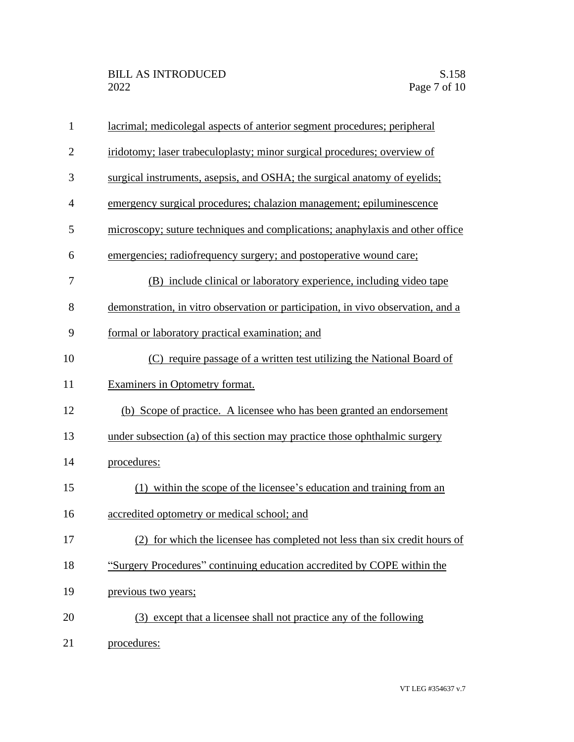| $\mathbf{1}$   | lacrimal; medicolegal aspects of anterior segment procedures; peripheral         |
|----------------|----------------------------------------------------------------------------------|
| $\overline{2}$ | iridotomy; laser trabeculoplasty; minor surgical procedures; overview of         |
| 3              | surgical instruments, asepsis, and OSHA; the surgical anatomy of eyelids;        |
| 4              | emergency surgical procedures; chalazion management; epiluminescence             |
| 5              | microscopy; suture techniques and complications; anaphylaxis and other office    |
| 6              | emergencies; radiofrequency surgery; and postoperative wound care;               |
| 7              | (B) include clinical or laboratory experience, including video tape              |
| 8              | demonstration, in vitro observation or participation, in vivo observation, and a |
| 9              | formal or laboratory practical examination; and                                  |
| 10             | (C) require passage of a written test utilizing the National Board of            |
| 11             | Examiners in Optometry format.                                                   |
| 12             | (b) Scope of practice. A licensee who has been granted an endorsement            |
| 13             | under subsection (a) of this section may practice those ophthalmic surgery       |
| 14             | procedures:                                                                      |
| 15             | (1) within the scope of the licensee's education and training from an            |
| 16             | accredited optometry or medical school; and                                      |
| 17             | (2) for which the licensee has completed not less than six credit hours of       |
| 18             | "Surgery Procedures" continuing education accredited by COPE within the          |
| 19             | previous two years;                                                              |
| 20             | (3) except that a licensee shall not practice any of the following               |
| 21             | procedures:                                                                      |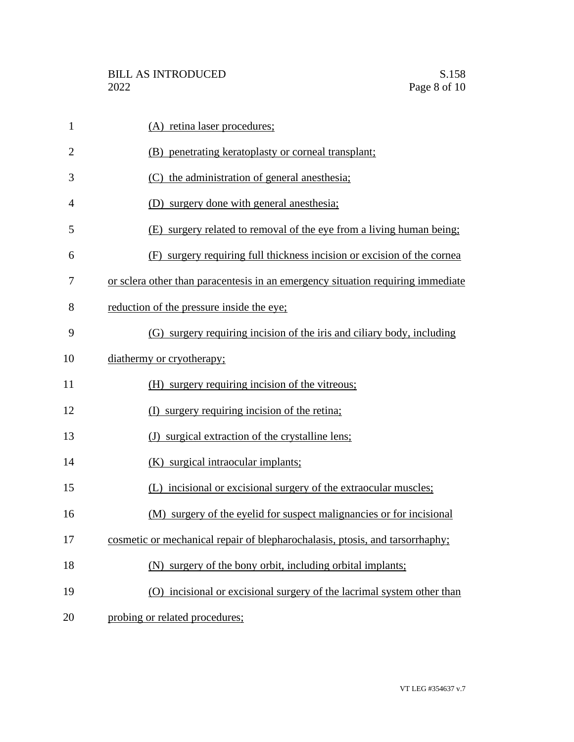| $\mathbf{1}$   | (A) retina laser procedures;                                                    |
|----------------|---------------------------------------------------------------------------------|
| $\overline{2}$ | (B) penetrating keratoplasty or corneal transplant;                             |
| 3              | (C) the administration of general anesthesia;                                   |
| $\overline{4}$ | (D) surgery done with general anesthesia;                                       |
| 5              | (E) surgery related to removal of the eye from a living human being;            |
| 6              | (F) surgery requiring full thickness incision or excision of the cornea         |
| 7              | or sclera other than paracentesis in an emergency situation requiring immediate |
| 8              | reduction of the pressure inside the eye;                                       |
| 9              | (G) surgery requiring incision of the iris and ciliary body, including          |
| 10             | diathermy or cryotherapy;                                                       |
| 11             | (H) surgery requiring incision of the vitreous;                                 |
| 12             | (I) surgery requiring incision of the retina;                                   |
| 13             | (J) surgical extraction of the crystalline lens;                                |
| 14             | (K) surgical intraocular implants;                                              |
| 15             | (L) incisional or excisional surgery of the extraocular muscles;                |
| 16             | (M) surgery of the eyelid for suspect malignancies or for incisional            |
| 17             | cosmetic or mechanical repair of blepharochalasis, ptosis, and tarsorrhaphy;    |
| 18             | (N) surgery of the bony orbit, including orbital implants;                      |
| 19             | (O) incisional or excisional surgery of the lacrimal system other than          |
| 20             | probing or related procedures;                                                  |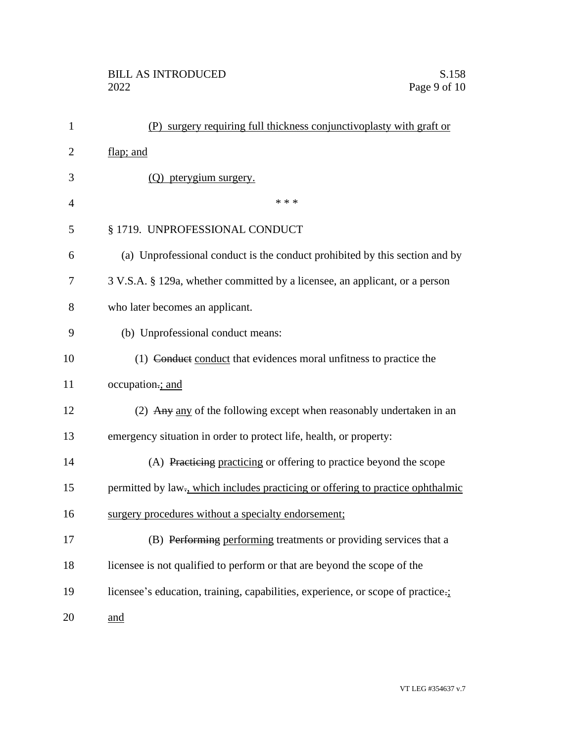| $\mathbf{1}$   | (P) surgery requiring full thickness conjunctive plasty with graft or           |
|----------------|---------------------------------------------------------------------------------|
| $\overline{2}$ | flap; and                                                                       |
| 3              | (Q) pterygium surgery.                                                          |
| $\overline{4}$ | * * *                                                                           |
| 5              | § 1719. UNPROFESSIONAL CONDUCT                                                  |
| 6              | (a) Unprofessional conduct is the conduct prohibited by this section and by     |
| 7              | 3 V.S.A. § 129a, whether committed by a licensee, an applicant, or a person     |
| 8              | who later becomes an applicant.                                                 |
| 9              | (b) Unprofessional conduct means:                                               |
| 10             | (1) Conduct conduct that evidences moral unfitness to practice the              |
| 11             | occupation.; and                                                                |
| 12             | (2) Any any of the following except when reasonably undertaken in an            |
| 13             | emergency situation in order to protect life, health, or property:              |
| 14             | (A) Practicing practicing or offering to practice beyond the scope              |
| 15             | permitted by law-, which includes practicing or offering to practice ophthalmic |
| 16             | surgery procedures without a specialty endorsement;                             |
| 17             | (B) Performing performing treatments or providing services that a               |
| 18             | licensee is not qualified to perform or that are beyond the scope of the        |
| 19             | licensee's education, training, capabilities, experience, or scope of practice. |
| 20             | and                                                                             |